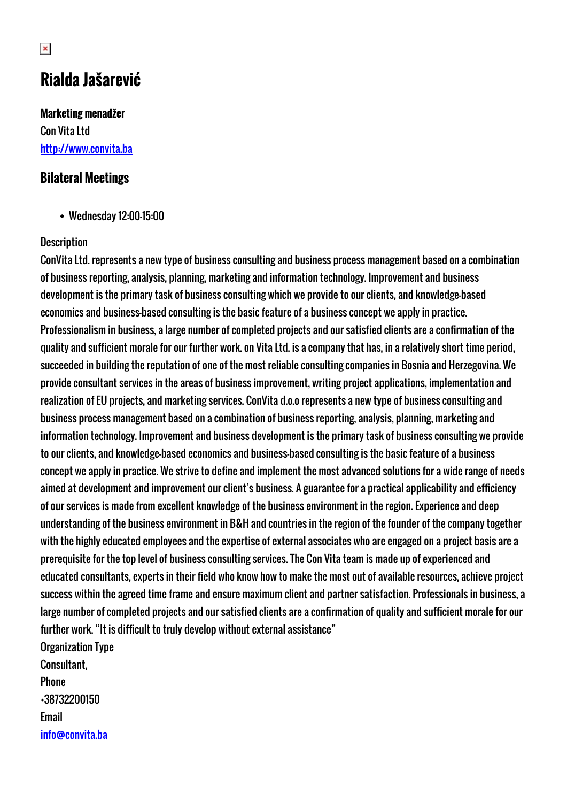# **Rialda Jašarević**

**Marketing menadžer** Con Vita Ltd <http://www.convita.ba>

### **Bilateral Meetings**

Wednesday 12:00-15:00

#### **Description**

ConVita Ltd. represents a new type of business consulting and business process management based on a combination of business reporting, analysis, planning, marketing and information technology. Improvement and business development is the primary task of business consulting which we provide to our clients, and knowledge-based economics and business-based consulting is the basic feature of a business concept we apply in practice. Professionalism in business, a large number of completed projects and our satisfied clients are a confirmation of the quality and sufficient morale for our further work. on Vita Ltd. is a company that has, in a relatively short time period, succeeded in building the reputation of one of the most reliable consulting companies in Bosnia and Herzegovina. We provide consultant services in the areas of business improvement, writing project applications, implementation and realization of EU projects, and marketing services. ConVita d.o.o represents a new type of business consulting and business process management based on a combination of business reporting, analysis, planning, marketing and information technology. Improvement and business development is the primary task of business consulting we provide to our clients, and knowledge-based economics and business-based consulting is the basic feature of a business concept we apply in practice. We strive to define and implement the most advanced solutions for a wide range of needs aimed at development and improvement our client's business. A guarantee for a practical applicability and efficiency of our services is made from excellent knowledge of the business environment in the region. Experience and deep understanding of the business environment in B&H and countries in the region of the founder of the company together with the highly educated employees and the expertise of external associates who are engaged on a project basis are a prerequisite for the top level of business consulting services. The Con Vita team is made up of experienced and educated consultants, experts in their field who know how to make the most out of available resources, achieve project success within the agreed time frame and ensure maximum client and partner satisfaction. Professionals in business, a large number of completed projects and our satisfied clients are a confirmation of quality and sufficient morale for our further work. "It is difficult to truly develop without external assistance" Organization Type

Consultant, **Phone** +38732200150 Email [info@convita.ba](mailto:info@convita.ba)